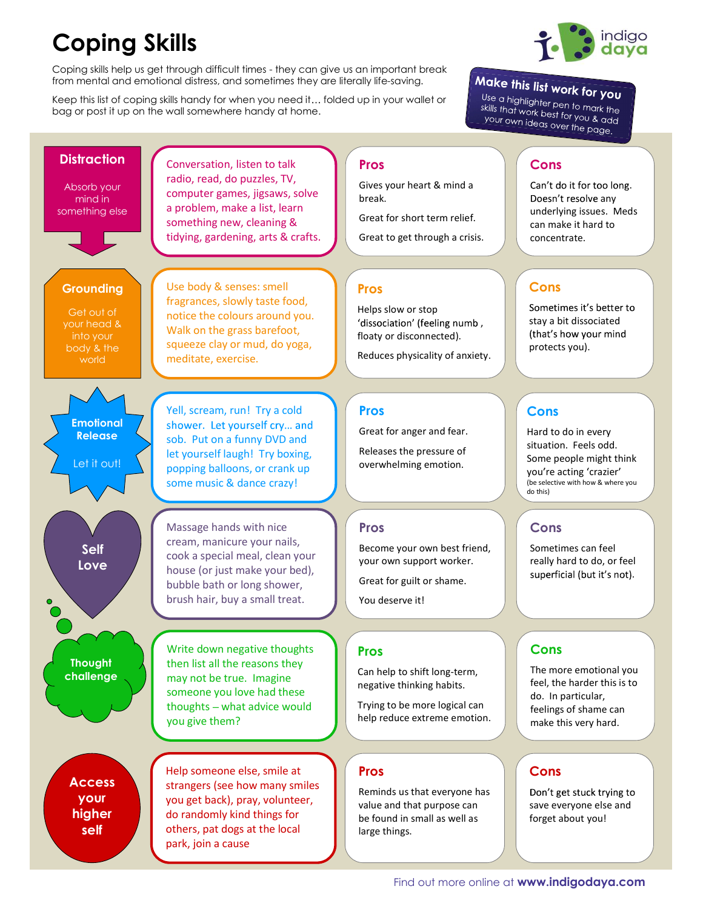## Coping Skills

Coping skills help us get through difficult times - they can give us an important break from mental and emotional distress, and sometimes they are literally life-saving.

Keep this list of coping skills handy for when you need it... folded up in your wallet or bag or post it up on the wall somewhere handy at home.

## Make this list work for you

Use a highlighter pen to mark the<br>skills that work best for users the sub a riighlighter pen to mark the<br>skills that work best for you & add<br>your own ideas over the ... your own ideas over the page.

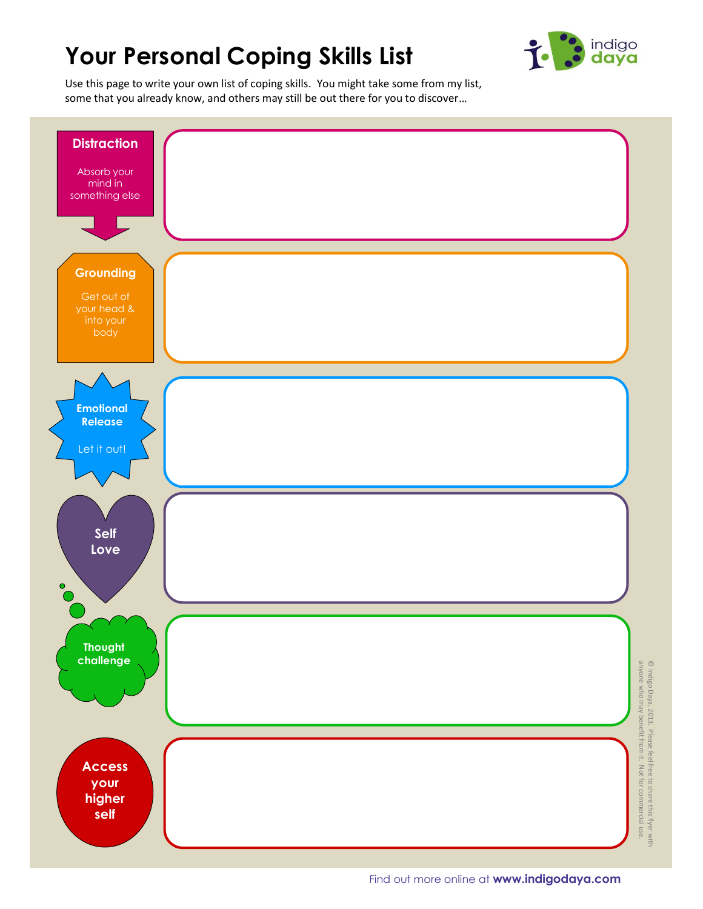## Your Personal Coping Skills List



Use this page to write your own list of coping skills. You might take some from my list, some that you already know, and others may still be out there for you to discover...